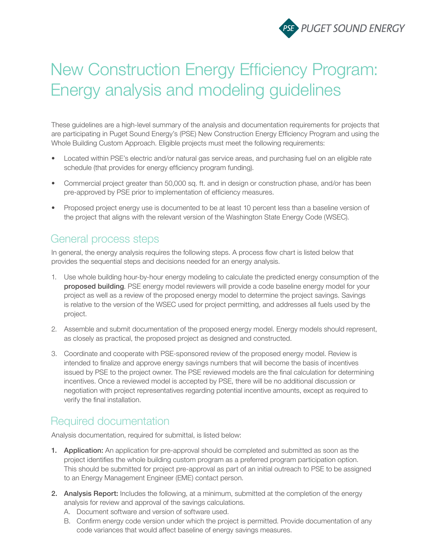

# New Construction Energy Efficiency Program: Energy analysis and modeling guidelines

These guidelines are a high-level summary of the analysis and documentation requirements for projects that are participating in Puget Sound Energy's (PSE) New Construction Energy Efficiency Program and using the Whole Building Custom Approach. Eligible projects must meet the following requirements:

- Located within PSE's electric and/or natural gas service areas, and purchasing fuel on an eligible rate schedule (that provides for energy efficiency program funding).
- Commercial project greater than 50,000 sq. ft. and in design or construction phase, and/or has been pre-approved by PSE prior to implementation of efficiency measures.
- Proposed project energy use is documented to be at least 10 percent less than a baseline version of the project that aligns with the relevant version of the Washington State Energy Code (WSEC).

## General process steps

In general, the energy analysis requires the following steps. A process flow chart is listed below that provides the sequential steps and decisions needed for an energy analysis.

- 1. Use whole building hour-by-hour energy modeling to calculate the predicted energy consumption of the proposed building. PSE energy model reviewers will provide a code baseline energy model for your project as well as a review of the proposed energy model to determine the project savings. Savings is relative to the version of the WSEC used for project permitting, and addresses all fuels used by the project.
- 2. Assemble and submit documentation of the proposed energy model. Energy models should represent, as closely as practical, the proposed project as designed and constructed.
- 3. Coordinate and cooperate with PSE-sponsored review of the proposed energy model. Review is intended to finalize and approve energy savings numbers that will become the basis of incentives issued by PSE to the project owner. The PSE reviewed models are the final calculation for determining incentives. Once a reviewed model is accepted by PSE, there will be no additional discussion or negotiation with project representatives regarding potential incentive amounts, except as required to verify the final installation.

## Required documentation

Analysis documentation, required for submittal, is listed below:

- 1. Application: An application for pre-approval should be completed and submitted as soon as the project identifies the whole building custom program as a preferred program participation option. This should be submitted for project pre-approval as part of an initial outreach to PSE to be assigned to an Energy Management Engineer (EME) contact person.
- 2. Analysis Report: Includes the following, at a minimum, submitted at the completion of the energy analysis for review and approval of the savings calculations.
	- A. Document software and version of software used.
	- B. Confirm energy code version under which the project is permitted. Provide documentation of any code variances that would affect baseline of energy savings measures.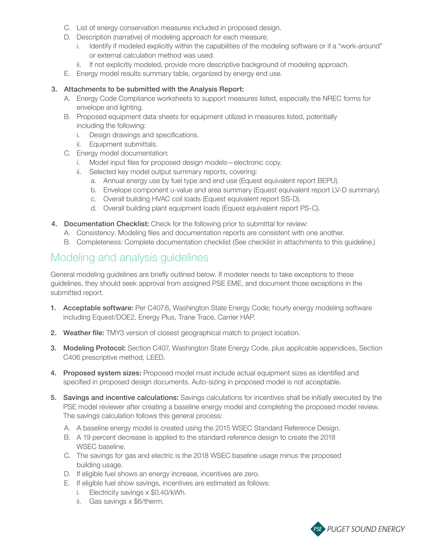- C. List of energy conservation measures included in proposed design.
- D. Description (narrative) of modeling approach for each measure.
	- i. Identify if modeled explicitly within the capabilities of the modeling software or if a "work-around" or external calculation method was used.
	- ii. If not explicitly modeled, provide more descriptive background of modeling approach.
- E. Energy model results summary table, organized by energy end use.

#### 3. Attachments to be submitted with the Analysis Report:

- A. Energy Code Compliance worksheets to support measures listed, especially the NREC forms for envelope and lighting.
- B. Proposed equipment data sheets for equipment utilized in measures listed, potentially including the following:
	- i. Design drawings and specifications.
	- ii. Equipment submittals.
- C. Energy model documentation:
	- i. Model input files for proposed design models—electronic copy.
	- ii. Selected key model output summary reports, covering:
		- a. Annual energy use by fuel type and end use (Equest equivalent report BEPU).
		- b. Envelope component u-value and area summary (Equest equivalent report LV-D summary).
		- c. Overall building HVAC coil loads (Equest equivalent report SS-D).
		- d. Overall building plant equipment loads (Equest equivalent report PS-C).
- 4. Documentation Checklist: Check for the following prior to submittal for review:
	- A. Consistency: Modeling files and documentation reports are consistent with one another.
	- B. Completeness: Complete documentation checklist (See checklist in attachments to this guideline.)

### Modeling and analysis guidelines

General modeling guidelines are briefly outlined below. If modeler needs to take exceptions to these guidelines, they should seek approval from assigned PSE EME, and document those exceptions in the submitted report.

- 1. Acceptable software: Per C407.6, Washington State Energy Code; hourly energy modeling software including Equest/DOE2, Energy Plus, Trane Trace, Carrier HAP.
- 2. Weather file: TMY3 version of closest geographical match to project location.
- 3. Modeling Protocol: Section C407, Washington State Energy Code, plus applicable appendices, Section C406 prescriptive method, LEED.
- 4. Proposed system sizes: Proposed model must include actual equipment sizes as identified and specified in proposed design documents. Auto-sizing in proposed model is not acceptable.
- 5. Savings and incentive calculations: Savings calculations for incentives shall be initially executed by the PSE model reviewer after creating a baseline energy model and completing the proposed model review. The savings calculation follows this general process:
	- A. A baseline energy model is created using the 2015 WSEC Standard Reference Design.
	- B. A 19 percent decrease is applied to the standard reference design to create the 2018 WSEC baseline.
	- C. The savings for gas and electric is the 2018 WSEC baseline usage minus the proposed building usage.
	- D. If eligible fuel shows an energy increase, incentives are zero.
	- E. If eligible fuel show savings, incentives are estimated as follows:
		- i. Electricity savings x \$0.40/kWh.
		- ii. Gas savings x \$6/therm.

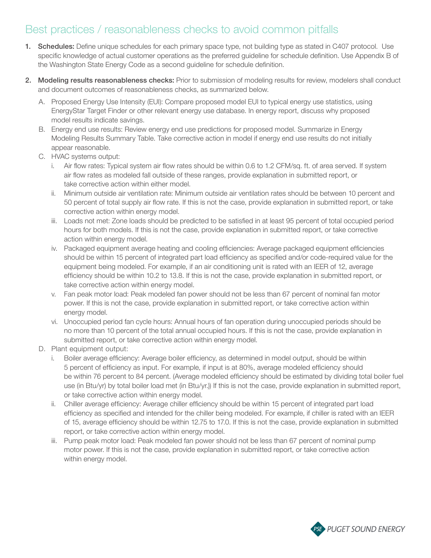# Best practices / reasonableness checks to avoid common pitfalls

- 1. Schedules: Define unique schedules for each primary space type, not building type as stated in C407 protocol. Use specific knowledge of actual customer operations as the preferred guideline for schedule definition. Use Appendix B of the Washington State Energy Code as a second guideline for schedule definition.
- 2. Modeling results reasonableness checks: Prior to submission of modeling results for review, modelers shall conduct and document outcomes of reasonableness checks, as summarized below.
	- A. Proposed Energy Use Intensity (EUI): Compare proposed model EUI to typical energy use statistics, using EnergyStar Target Finder or other relevant energy use database. In energy report, discuss why proposed model results indicate savings.
	- B. Energy end use results: Review energy end use predictions for proposed model. Summarize in Energy Modeling Results Summary Table. Take corrective action in model if energy end use results do not initially appear reasonable.
	- C. HVAC systems output:
		- i. Air flow rates: Typical system air flow rates should be within 0.6 to 1.2 CFM/sq. ft. of area served. If system air flow rates as modeled fall outside of these ranges, provide explanation in submitted report, or take corrective action within either model.
		- ii. Minimum outside air ventilation rate: Minimum outside air ventilation rates should be between 10 percent and 50 percent of total supply air flow rate. If this is not the case, provide explanation in submitted report, or take corrective action within energy model.
		- iii. Loads not met: Zone loads should be predicted to be satisfied in at least 95 percent of total occupied period hours for both models. If this is not the case, provide explanation in submitted report, or take corrective action within energy model.
		- iv. Packaged equipment average heating and cooling efficiencies: Average packaged equipment efficiencies should be within 15 percent of integrated part load efficiency as specified and/or code-required value for the equipment being modeled. For example, if an air conditioning unit is rated with an IEER of 12, average efficiency should be within 10.2 to 13.8. If this is not the case, provide explanation in submitted report, or take corrective action within energy model.
		- v. Fan peak motor load: Peak modeled fan power should not be less than 67 percent of nominal fan motor power. If this is not the case, provide explanation in submitted report, or take corrective action within energy model.
		- vi. Unoccupied period fan cycle hours: Annual hours of fan operation during unoccupied periods should be no more than 10 percent of the total annual occupied hours. If this is not the case, provide explanation in submitted report, or take corrective action within energy model.
	- D. Plant equipment output:
		- i. Boiler average efficiency: Average boiler efficiency, as determined in model output, should be within 5 percent of efficiency as input. For example, if input is at 80%, average modeled efficiency should be within 76 percent to 84 percent. (Average modeled efficiency should be estimated by dividing total boiler fuel use (in Btu/yr) by total boiler load met (in Btu/yr.)) If this is not the case, provide explanation in submitted report, or take corrective action within energy model.
		- ii. Chiller average efficiency: Average chiller efficiency should be within 15 percent of integrated part load efficiency as specified and intended for the chiller being modeled. For example, if chiller is rated with an IEER of 15, average efficiency should be within 12.75 to 17.0. If this is not the case, provide explanation in submitted report, or take corrective action within energy model.
		- iii. Pump peak motor load: Peak modeled fan power should not be less than 67 percent of nominal pump motor power. If this is not the case, provide explanation in submitted report, or take corrective action within energy model.

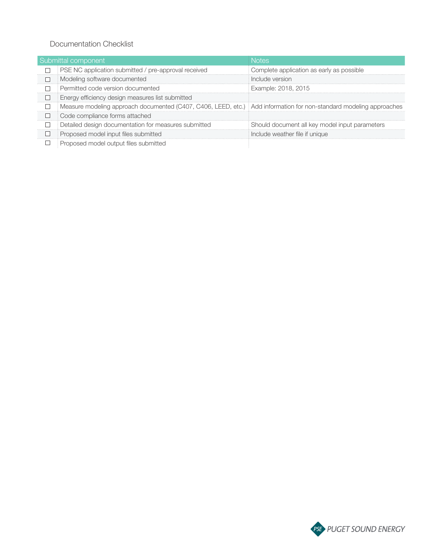#### Documentation Checklist

| Submittal component |                                                                                                                      |                                                |
|---------------------|----------------------------------------------------------------------------------------------------------------------|------------------------------------------------|
|                     | PSE NC application submitted / pre-approval received                                                                 | Complete application as early as possible      |
|                     | Modeling software documented                                                                                         | i Include version                              |
|                     | Permitted code version documented                                                                                    | Example: 2018, 2015                            |
|                     | Energy efficiency design measures list submitted                                                                     |                                                |
|                     | Measure modeling approach documented (C407, C406, LEED, etc.)   Add information for non-standard modeling approaches |                                                |
|                     | Code compliance forms attached                                                                                       |                                                |
|                     | Detailed design documentation for measures submitted                                                                 | Should document all key model input parameters |
|                     | Proposed model input files submitted                                                                                 | Include weather file if unique                 |
|                     | Proposed model output files submitted                                                                                |                                                |